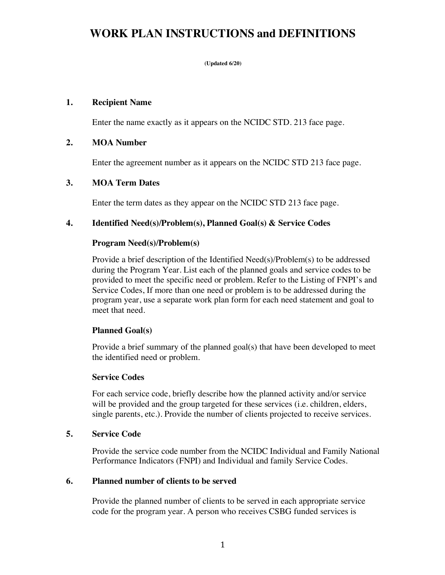## **WORK PLAN INSTRUCTIONS and DEFINITIONS**

**(Updated 6/20)**

### **1. Recipient Name**

Enter the name exactly as it appears on the NCIDC STD. 213 face page.

### **2. MOA Number**

Enter the agreement number as it appears on the NCIDC STD 213 face page.

### **3. MOA Term Dates**

Enter the term dates as they appear on the NCIDC STD 213 face page.

## **4. Identified Need(s)/Problem(s), Planned Goal(s) & Service Codes**

### **Program Need(s)/Problem(s)**

Provide a brief description of the Identified Need(s)/Problem(s) to be addressed during the Program Year. List each of the planned goals and service codes to be provided to meet the specific need or problem. Refer to the Listing of FNPI's and Service Codes, If more than one need or problem is to be addressed during the program year, use a separate work plan form for each need statement and goal to meet that need.

## **Planned Goal(s)**

Provide a brief summary of the planned goal(s) that have been developed to meet the identified need or problem.

#### **Service Codes**

For each service code, briefly describe how the planned activity and/or service will be provided and the group targeted for these services (i.e. children, elders, single parents, etc.). Provide the number of clients projected to receive services.

#### **5. Service Code**

Provide the service code number from the NCIDC Individual and Family National Performance Indicators (FNPI) and Individual and family Service Codes.

#### **6. Planned number of clients to be served**

Provide the planned number of clients to be served in each appropriate service code for the program year. A person who receives CSBG funded services is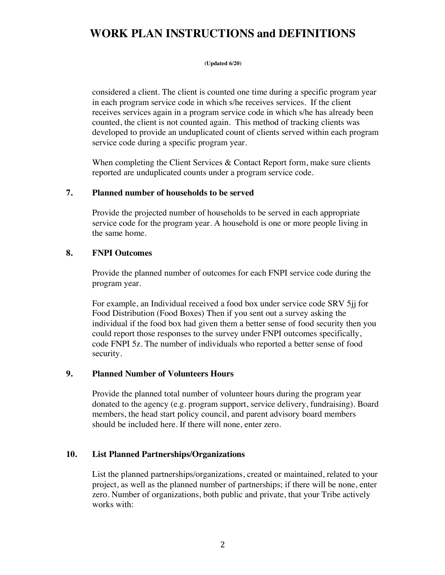# **WORK PLAN INSTRUCTIONS and DEFINITIONS**

#### **(Updated 6/20)**

considered a client. The client is counted one time during a specific program year in each program service code in which s/he receives services. If the client receives services again in a program service code in which s/he has already been counted, the client is not counted again. This method of tracking clients was developed to provide an unduplicated count of clients served within each program service code during a specific program year.

When completing the Client Services & Contact Report form, make sure clients reported are unduplicated counts under a program service code.

## **7. Planned number of households to be served**

Provide the projected number of households to be served in each appropriate service code for the program year. A household is one or more people living in the same home.

## **8. FNPI Outcomes**

Provide the planned number of outcomes for each FNPI service code during the program year.

For example, an Individual received a food box under service code SRV 5jj for Food Distribution (Food Boxes) Then if you sent out a survey asking the individual if the food box had given them a better sense of food security then you could report those responses to the survey under FNPI outcomes specifically, code FNPI 5z. The number of individuals who reported a better sense of food security.

## **9. Planned Number of Volunteers Hours**

Provide the planned total number of volunteer hours during the program year donated to the agency (e.g. program support, service delivery, fundraising). Board members, the head start policy council, and parent advisory board members should be included here. If there will none, enter zero.

## **10. List Planned Partnerships/Organizations**

List the planned partnerships/organizations, created or maintained, related to your project, as well as the planned number of partnerships; if there will be none, enter zero. Number of organizations, both public and private, that your Tribe actively works with: